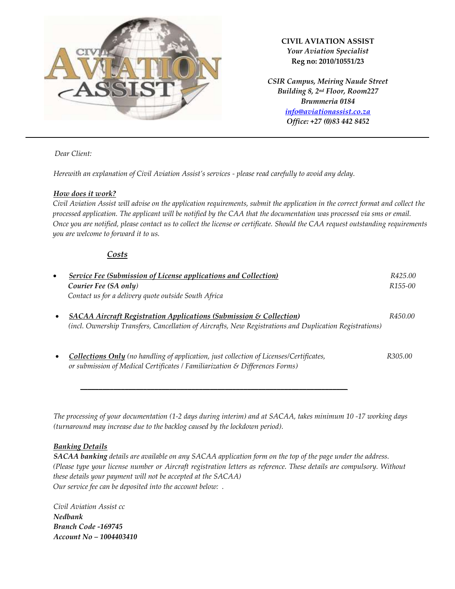

### **CIVIL AVIATION ASSIST** *Your Aviation Specialist* **Reg no: 2010/10551/23**

*CSIR Campus, Meiring Naude Street Building 8, 2nd Floor, Room227 Brummeria 0184 [info@aviationassist.co.za](mailto:info@aviationassist.co.za) Office: +27 (0)83 442 8452*

 *Dear Client:* 

*Herewith an explanation of Civil Aviation Assist's services - please read carefully to avoid any delay.* 

## *How does it work?*

 *Civil Aviation Assist will advise on the application requirements, submit the application in the correct format and collect the processed application. The applicant will be notified by the CAA that the documentation was processed via sms or email. Once you are notified, please contact us to collect the license or certificate. Should the CAA request outstanding requirements you are welcome to forward it to us.* 

# *Costs*

| $\bullet$ | <b>Service Fee (Submission of License applications and Collection)</b>                                      | R425.00              |
|-----------|-------------------------------------------------------------------------------------------------------------|----------------------|
|           | Courier Fee (SA only)                                                                                       | R <sub>155</sub> -00 |
|           | Contact us for a delivery quote outside South Africa                                                        |                      |
|           | <b>SACAA Aircraft Registration Applications (Submission &amp; Collection)</b><br>$\bullet$                  | R450.00              |
|           | (incl. Ownership Transfers, Cancellation of Aircrafts, New Registrations and Duplication Registrations)     |                      |
|           |                                                                                                             |                      |
|           | <b>Collections Only</b> (no handling of application, just collection of Licenses/Certificates,<br>$\bullet$ | R305.00              |
|           | or submission of Medical Certificates / Familiarization & Differences Forms)                                |                      |

*The processing of your documentation (1-2 days during interim) and at SACAA, takes minimum 10 -17 working days (turnaround may increase due to the backlog caused by the lockdown period).* 

*\_\_\_\_\_\_\_\_\_\_\_\_\_\_\_\_\_\_\_\_\_\_\_\_\_\_\_\_\_\_\_\_\_\_\_\_\_\_\_\_\_\_\_\_\_\_\_\_\_\_\_\_\_\_\_\_\_\_\_\_\_\_\_\_\_\_\_\_\_\_\_\_*

### *Banking Details*

*SACAA banking details are available on any SACAA application form on the top of the page under the address. (Please type your license number or Aircraft registration letters as reference. These details are compulsory. Without these details your payment will not be accepted at the SACAA) Our service fee can be deposited into the account below: .*

*Civil Aviation Assist cc Nedbank Branch Code -169745 Account No – 1004403410*